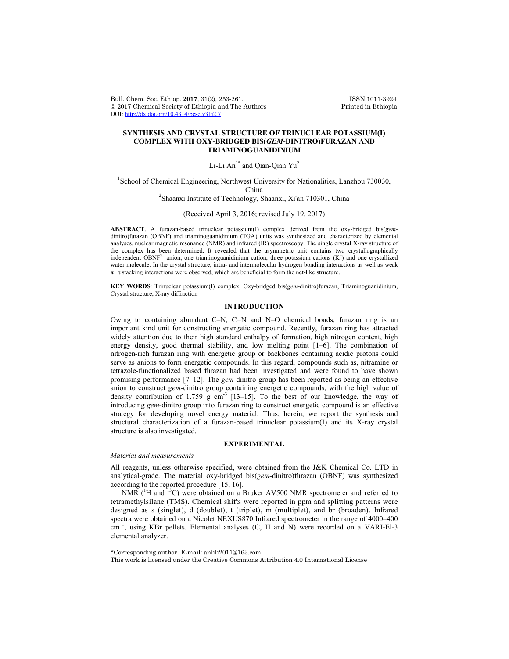Bull. Chem. Soc. Ethiop. 2017, 31(2), 253-261. ISSN 1011-3924<br>
© 2017 Chemical Society of Ethiopia and The Authors Printed in Ethiopia  $© 2017 Chemical Society of Ethiopia and The Authors$ DOI: http://dx.doi.org/10.4314/bcse.v31i2.7

# **SYNTHESIS AND CRYSTAL STRUCTURE OF TRINUCLEAR POTASSIUM(I) COMPLEX WITH OXY-BRIDGED BIS(***GEM***-DINITRO)FURAZAN AND TRIAMINOGUANIDINIUM**

# Li-Li  $An^{1*}$  and Oian-Oian Yu<sup>2</sup>

<sup>1</sup>School of Chemical Engineering, Northwest University for Nationalities, Lanzhou 730030, China <sup>2</sup> Shaanxi Institute of Technology, Shaanxi, Xi'an 710301, China

# (Received April 3, 2016; revised July 19, 2017)

**ABSTRACT**. A furazan-based trinuclear potassium(I) complex derived from the oxy-bridged bis(*gem*dinitro)furazan (OBNF) and triaminoguanidinium (TGA) units was synthesized and characterized by elemental analyses, nuclear magnetic resonance (NMR) and infrared (IR) spectroscopy. The single crystal X-ray structure of the complex has been determined. It revealed that the asymmetric unit contains two crystallographically independent OBNF<sup>2–</sup> anion, one triaminoguanidinium cation, three potassium cations  $(K^+)$  and one crystallized water molecule. In the crystal structure, intra- and intermolecular hydrogen bonding interactions as well as weak  $\pi-\pi$  stacking interactions were observed, which are beneficial to form the net-like structure.

**KEY WORDS**: Trinuclear potassium(I) complex, Oxy-bridged bis(*gem*-dinitro)furazan, Triaminoguanidinium, Crystal structure, X-ray diffraction

# **INTRODUCTION**

Owing to containing abundant C–N, C=N and N–O chemical bonds, furazan ring is an important kind unit for constructing energetic compound. Recently, furazan ring has attracted widely attention due to their high standard enthalpy of formation, high nitrogen content, high energy density, good thermal stability, and low melting point [1–6]. The combination of nitrogen-rich furazan ring with energetic group or backbones containing acidic protons could serve as anions to form energetic compounds. In this regard, compounds such as, nitramine or tetrazole-functionalized based furazan had been investigated and were found to have shown promising performance [7–12]. The *gem*-dinitro group has been reported as being an effective anion to construct *gem*-dinitro group containing energetic compounds, with the high value of density contribution of  $1.759$  g cm<sup>-3</sup> [13-15]. To the best of our knowledge, the way of introducing *gem*-dinitro group into furazan ring to construct energetic compound is an effective strategy for developing novel energy material. Thus, herein, we report the synthesis and structural characterization of a furazan-based trinuclear potassium(I) and its X-ray crystal structure is also investigated.

### **EXPERIMENTAL**

#### *Material and measurements*

 $\overline{\phantom{a}}$ 

All reagents, unless otherwise specified, were obtained from the J&K Chemical Co. LTD in analytical-grade. The material oxy-bridged bis(*gem*-dinitro)furazan (OBNF) was synthesized according to the reported procedure [15, 16].

NMR ( ${}^{1}$ H and  ${}^{13}$ C) were obtained on a Bruker AV500 NMR spectrometer and referred to tetramethylsilane (TMS). Chemical shifts were reported in ppm and splitting patterns were designed as s (singlet), d (doublet), t (triplet), m (multiplet), and br (broaden). Infrared spectra were obtained on a Nicolet NEXUS870 Infrared spectrometer in the range of 4000–400 cm<sup>-1</sup>, using KBr pellets. Elemental analyses (C, H and N) were recorded on a VARI-El-3 elemental analyzer.

<sup>\*</sup>Corresponding author. E-mail: anlili2011@163.com

This work is licensed under the Creative Commons Attribution 4.0 International License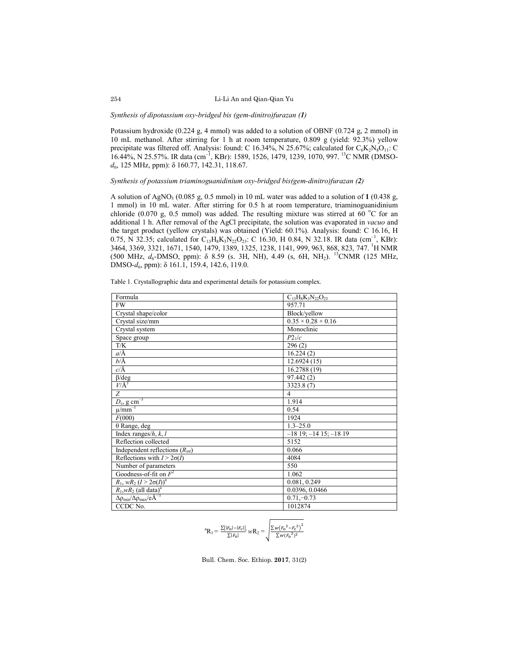#### Li-Li An and Qian-Qian Yu

#### *Synthesis of dipotassium oxy-bridged bis (gem-dinitro)furazan (1)*

Potassium hydroxide (0.224 g, 4 mmol) was added to a solution of OBNF (0.724 g, 2 mmol) in 10 mL methanol. After stirring for 1 h at room temperature, 0.809 g (yield: 92.3%) yellow precipitate was filtered off. Analysis: found: C 16.34%, N 25.67%; calculated for  $C_6K_2N_8O_{11}$ : C 16.44%, N 25.57%. IR data (cm<sup>-1</sup>, KBr): 1589, 1526, 1479, 1239, 1070, 997. <sup>13</sup>C NMR (DMSO*d*6, 125 MHz, ppm): δ 160.77, 142.31, 118.67.

# *Synthesis of potassium triaminoguanidinium oxy-bridged bis(gem-dinitro)furazan (2)*

A solution of AgNO3 (0.085 g, 0.5 mmol) in 10 mL water was added to a solution of **1** (0.438 g, 1 mmol) in 10 mL water. After stirring for 0.5 h at room temperature, triaminoguanidinium chloride (0.070 g, 0.5 mmol) was added. The resulting mixture was stirred at 60 °C for an additional 1 h. After removal of the AgCl precipitate, the solution was evaporated in *vacuo* and the target product (yellow crystals) was obtained (Yield: 60.1%). Analysis: found: C 16.16, H 0.75, N 32.35; calculated for  $C_{13}H_8K_3N_{22}O_{23}$ : C 16.30, H 0.84, N 32.18. IR data (cm<sup>-1</sup>, KBr): 3464, 3369, 3321, 1671, 1540, 1479, 1389, 1325, 1238, 1141, 999, 963, 868, 823, 747. <sup>1</sup>H NMR (500 MHz, *d*<sub>6</sub>-DMSO, ppm): δ 8.59 (s. 3H, NH), 4.49 (s, 6H, NH<sub>2</sub>). <sup>13</sup>CNMR (125 MHz, DMSO-*d*6, ppm): δ 161.1, 159.4, 142.6, 119.0.

| Formula                                       | $C_{13}H_8K_3N_{22}O_{23}$     |
|-----------------------------------------------|--------------------------------|
| <b>FW</b>                                     | 957.71                         |
| Crystal shape/color                           | Block/yellow                   |
| Crystal size/mm                               | $0.35 \times 0.28 \times 0.16$ |
| Crystal system                                | Monoclinic                     |
| Space group                                   | $P2_1/c$                       |
| T/K                                           | 296(2)                         |
| $a/\text{\AA}$                                | 16.224(2)                      |
| $b/\text{\AA}$                                | 12.6924(15)                    |
| $c/\text{\AA}$                                | 16.2788 (19)                   |
| $\beta$ /deg                                  | 97.442(2)                      |
| $V/A^3$                                       | 3323.8 (7)                     |
| $\overline{Z}$                                | $\overline{4}$                 |
| $D_c$ , g cm <sup>-3</sup>                    | 1.914                          |
| $\mu$ /mm <sup>-T</sup>                       | 0.54                           |
| F(000)                                        | 1924                           |
| $\theta$ Range, deg                           | $1.3 - 25.0$                   |
| Index ranges/ $h, k, l$                       | $-18$ 19; $-14$ 15; $-18$ 19   |
| Reflection collected                          | 5152                           |
| Independent reflections $(Rint)$              | 0.066                          |
| Reflections with $I > 2\sigma(I)$             | 4084                           |
| Number of parameters                          | 550                            |
| Goodness-of-fit on $F^2$                      | 1.062                          |
| $R_1$ , w $R_2$ $(I > 2\sigma(I))^a$          | 0.081, 0.249                   |
| $R_1$ ,w $R_2$ (all data) <sup>a</sup>        | 0.0396, 0.0466                 |
| $\Delta \rho_{min}/\Delta \rho_{max}/eA^{-3}$ | $0.71,-0.73$                   |
| CCDC No.                                      | 1012874                        |

Table 1. Crystallographic data and experimental details for potassium complex.

$$
{}^{a}R_{1} = \frac{\Sigma |F_{0}|-|F_{c}|}{\Sigma |F_{0}|}, W_{2} = \sqrt{\frac{\Sigma w (F_{0}{}^{2}-F_{c}{}^{2})^{2}}{\Sigma w (F_{0}{}^{2})^{2}}}
$$

Bull. Chem. Soc. Ethiop. **2017**, 31(2)

254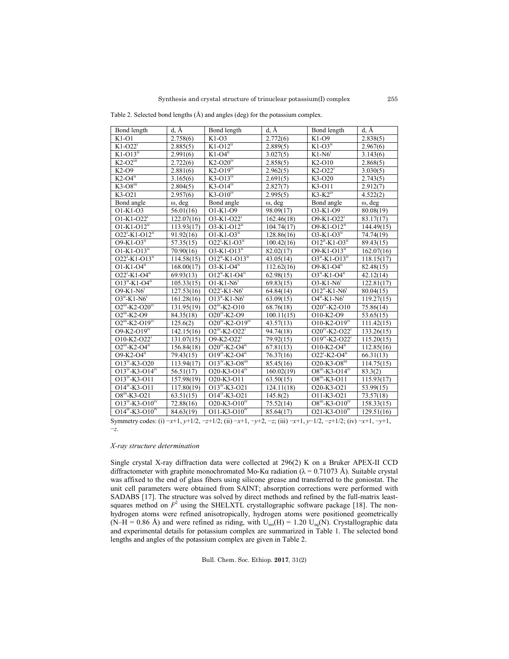Table 2. Selected bond lengths (Å) and angles (deg) for the potassium complex.

| Bond length                       | $d, \AA$       | Bond length<br>d, Å                                |                        | Bond length                                 | $d, \AA$       |
|-----------------------------------|----------------|----------------------------------------------------|------------------------|---------------------------------------------|----------------|
| $K1-O1$                           | 2.758(6)       | $K1-O3$                                            | 2.772(6)               | $K1-O9$                                     | 2.838(5)       |
| $K1-O221$                         | 2.885(5)       | $K1-O12n$                                          | 2.889(5)               | $K1-03n$                                    | 2.967(6)       |
| $K1-O13u$                         | 2.991(6)       | $K1-O411$                                          | 3.027(5)               | $K1-N61$                                    | 3.143(6)       |
| $K2-\overline{O2}$ <sup>III</sup> | 2.722(6)       | $K2-\overline{O20}$ <sup>iv</sup>                  | 2.858(5)               | K2-O10                                      | 2.868(5)       |
| K2-O9                             | 2.881(6)       | $K2-O19iv$                                         | 2.962(5)               | $K2-O22i$                                   | 3.030(5)       |
| $K2-0411$                         | 3.165(6)       | $K3-013iv$                                         | 2.691(5)               | K3-O20                                      | 2.743(5)       |
| $K3-08$ <sup>111</sup>            | 2.804(5)       | $K3-014iv$                                         | 2.827(7)               | K3-011                                      | 2.912(7)       |
| K3-O21                            | 2.957(6)       | $K3-010^{iv}$                                      | 2.995(5)               | $K3-K2iv$                                   | 4.522(2)       |
| Bond angle                        | $\omega$ , deg | Bond angle                                         | $\omega$ , deg         | Bond angle                                  | $\omega$ , deg |
| $O1-K1-O3$                        | 56.01(16)      | O1-K1-O9                                           | 98.09(17)              | O3-K1-O9                                    | 80.08(19)      |
| $O1-K1-O22i$                      | 122.07(16)     | $O3-K1-O22i$                                       | 162.46(18)             | $O9-K1-O22i$                                | 83.17(17)      |
| $O1-K1-O12ii$                     | 113.93(17)     | $O3-K1-O12^{11}$                                   | 104.74(17)             | $O9-K1-O12ii$                               | 144.49(15)     |
| $O22^i$ -K1-O1 $2^{ii}$           | 91.92(16)      | $O1-K1-O3$ <sup>ii</sup>                           | 128.86(16)             | $O3-K1-O3^{ii}$                             | 74.74(19)      |
| $O9-K1-O3^{11}$                   | 57.35(15)      | $O22^1-K1-O3^1$                                    | 100.42(16)             | $O12^{n}$ -K1- $O3^{n}$                     | 89.43(15)      |
| $O1-K1-O13^{11}$                  | 70.90(16)      | $O3-K1-O13n$                                       | 82.02(17)              | $O9-K1-O13^{11}$                            | 162.07(16)     |
| $O22^1$ -K1- $O13^1$              | 114.58(15)     | $O12^{ii}$ -K1- $O13^{ii}$                         | 43.05(14)              | $O3^{ii}$ -K1-O13 <sup>ii</sup>             | 118.15(17)     |
| $O1 - K1 - O4$ <sup>11</sup>      | 168.00(17)     | $O3-K1-O4ii$                                       | 112.62(16)             | $O9-K1-O4^{11}$                             | 82.48(15)      |
| $O22^{1}$ -K1-O4 <sup>11</sup>    | 69.93(13)      | $O12^{11}$ -K1-O4 $^{11}$                          | 62.98(15)              | $O3^{11}$ -K1-O4 $^{11}$                    | 42.12(14)      |
| $O13^{ii}$ -K1-O4 $^{ii}$         | 105.33(15)     | $O1-K1-N6i$                                        | 69.83(15)              | $O3-K1-N6^1$                                | 122.81(17)     |
| $O9-K1-N6^1$                      | 127.53(16)     | $O22^1-K1-N6^1$                                    | 64.84(14)              | $O12^{11}$ -K1-N6 <sup>1</sup>              | 80.04(15)      |
| $O3^{11}$ -K1-N6 <sup>1</sup>     | 161.28(16)     | $\overline{O13}$ <sup>11</sup> -K1-N6 <sup>1</sup> | 63.09(15)              | $\overline{O4^{11} - K1 - N6}$ <sup>1</sup> | 119.27(15)     |
| $O2^{111}$ -K2- $O20^{11}$        | 131.95(19)     | $O2^{iii}$ -K2-O10                                 | 68.76(18)              | $\overline{O20^{iv}}$ -K2- $O10$            | 75.86(14)      |
| $O2$ <sup>III</sup> -K2-O9        | 84.35(18)      | $O20^{iv}$ -K2-O9                                  | 100.11(15)             | O10-K2-O9                                   | 53.65(15)      |
| $O2^{iii}$ -K2- $O19^{iv}$        | 125.6(2)       | $O20^{iv}$ -K2- $O19^{iv}$                         | $\overline{43.57(13)}$ | $O10-K2-O19iv$                              | 111.42(15)     |
| $O9-K2-O19IV$                     | 142.15(16)     | $O2^{111}$ -K2- $O22^1$                            | 94.74(18)              | $O20^{iv}$ -K2- $O22^{i}$                   | 133.26(15)     |
| $O10-K2-O22$ <sup>1</sup>         | 131.07(15)     | $O9-K2-O22$ <sup>1</sup>                           | 79.92(15)              | $O19^{iv}$ -K2-O22 <sup>i</sup>             | 115.20(15)     |
| $O2^{iii}$ -K2- $O4^{ii}$         | 156.84(18)     | $O20^{iv}$ -K2-O4 <sup>ii</sup>                    | 67.81(13)              | $O10-K2-3$                                  | 112.85(16)     |
| $O9-K2-O4ii$                      | 79.43(15)      | $O19^{iv}$ -K2-O4 <sup>ii</sup>                    | 76.37(16)              | $O22^1$ -K2-O4 $^{\text{ii}}$               | 66.31(13)      |
| $O13^{iv}$ -K3-O20                | 113.94(17)     | $O13^{iv}$ -K3-O8 $^{iii}$                         | 85.45(16)              | $O20 - K3 - O8$ <sup>111</sup>              | 114.75(15)     |
| $O13^{iv}$ -K3- $O14^{iv}$        | 56.51(17)      | $O20 - K3 - O14w$                                  | 160.02(19)             | $O8^{iii}$ -K3-O14 <sup>iv</sup>            | 83.3(2)        |
| $O13^{IV}$ -K3-O11                | 157.98(19)     | O20-K3-O11                                         | 63.50(15)              | $O8^{111} - K3 - O11$                       | 115.93(17)     |
| $O14^{iv}$ -K3-O11                | 117.80(19)     | $\overline{O13^{iv}}$ -K3-O21                      | 124.11(18)             | O20-K3-O21                                  | 53.99(15)      |
| $O8^{iii}$ -K3-O21                | 63.51(15)      | $\overline{O14}^{iv}$ -K3-O21                      | 145.8(2)               | O11-K3-O21                                  | 73.57(18)      |
| $O13^{iv}$ -K3- $O10^{iv}$        | 72.88(16)      | $O20 - K3 - O10^{iv}$                              | 75.52(14)              | $O8^{iii}$ -K3- $O10^{iv}$                  | 158.33(15)     |
| $O14^{IV}$ -K3- $O10^{IV}$        | 84.63(19)      | $O11-K3-O10^{IV}$                                  | 85.64(17)              | $O21 - K3 - O10^{IV}$                       | 129.51(16)     |

Symmetry codes: (i) −*x*+1, *y*+1/2, −*z*+1/2; (ii) −*x*+1, −*y*+2, −*z*; (iii) −*x*+1, *y*−1/2, −*z*+1/2; (iv) −*x*+1, −*y*+1, −*z*.

# *X-ray structure determination*

Single crystal X-ray diffraction data were collected at 296(2) K on a Bruker APEX-II CCD diffractometer with graphite monochromated Mo-K $\alpha$  radiation ( $\lambda$  = 0.71073 Å). Suitable crystal was affixed to the end of glass fibers using silicone grease and transferred to the goniostat. The unit cell parameters were obtained from SAINT; absorption corrections were performed with SADABS [17]. The structure was solved by direct methods and refined by the full-matrix leastsquares method on  $F^2$  using the SHELXTL crystallographic software package [18]. The nonhydrogen atoms were refined anisotropically, hydrogen atoms were positioned geometrically (N–H = 0.86 Å) and were refined as riding, with  $U_{iso}(H) = 1.20 U_{eq}(N)$ . Crystallographic data and experimental details for potassium complex are summarized in Table 1. The selected bond lengths and angles of the potassium complex are given in Table 2.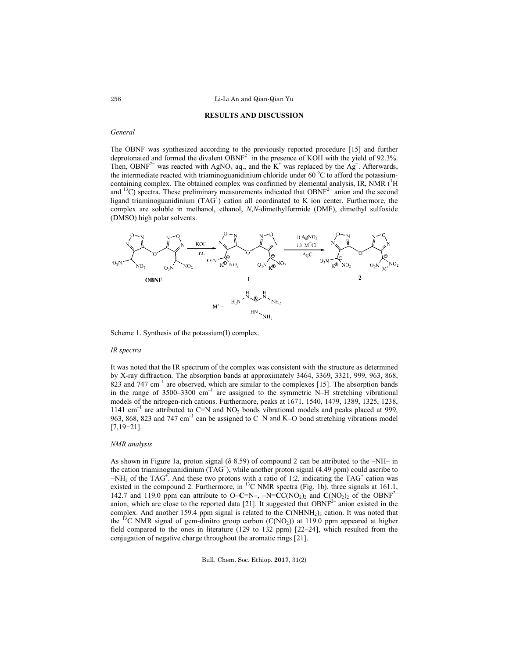### Li-Li An and Qian-Qian Yu

#### **RESULTS AND DISCUSSION**

# *General*

The OBNF was synthesized according to the previously reported procedure [15] and further deprotonated and formed the divalent OBNF<sup>2−</sup> in the presence of KOH with the yield of 92.3%. Then, OBNF<sup>2−</sup> was reacted with AgNO<sub>3</sub> aq., and the K<sup>+</sup> was replaced by the Ag<sup>+</sup>. Afterwards, the intermediate reacted with triaminoguanidinium chloride under 60 °C to afford the potassiumcontaining complex. The obtained complex was confirmed by elemental analysis, IR, NMR (<sup>1</sup>H and <sup>13</sup>C) spectra. These preliminary measurements indicated that OBNF<sup>2−</sup> anion and the second ligand triaminoguanidinium (TAG<sup>+</sup>) cation all coordinated to K ion center. Furthermore, the complex are soluble in methanol, ethanol, *N*,*N*-dimethylformide (DMF), dimethyl sulfoxide (DMSO) high polar solvents.



Scheme 1. Synthesis of the potassium(I) complex.

#### *IR spectra*

It was noted that the IR spectrum of the complex was consistent with the structure as determined by X-ray diffraction. The absorption bands at approximately 3464, 3369, 3321, 999, 963, 868, 823 and 747  $cm^{-1}$  are observed, which are similar to the complexes [15]. The absorption bands in the range of  $3500-3300$  cm<sup>-1</sup> are assigned to the symmetric N–H stretching vibrational models of the nitrogen-rich cations. Furthermore, peaks at 1671, 1540, 1479, 1389, 1325, 1238, 1141 cm<sup>-1</sup> are attributed to C=N and NO<sub>2</sub> bonds vibrational models and peaks placed at 999, 963, 868, 823 and 747 cm<sup>-1</sup> can be assigned to C−N and K–O bond stretching vibrations model [7,19−21].

# *NMR analysis*

As shown in Figure 1a, proton signal (δ 8.59) of compound 2 can be attributed to the –NH– in the cation triaminoguanidinium  $(TAG^+)$ , while another proton signal (4.49 ppm) could ascribe to  $-NH<sub>2</sub>$  of the TAG<sup>+</sup>. And these two protons with a ratio of 1:2, indicating the TAG<sup>+</sup> cation was existed in the compound 2. Furthermore, in <sup>13</sup>C NMR spectra (Fig. 1b), three signals at 161.1, 142.7 and 119.0 ppm can attribute to O–C=N–,  $-N=C C(NO_2)_2$  and  $C(NO_2)_2$  of the OBNF<sup>2–</sup> anion, which are close to the reported data [21]. It suggested that  $OBNF<sup>2–</sup>$  anion existed in the complex. And another 159.4 ppm signal is related to the C(NHNH<sub>2</sub>)<sub>3</sub> cation. It was noted that the <sup>13</sup>C NMR signal of gem-dinitro group carbon ( $C(NO<sub>2</sub>)$ ) at 119.0 ppm appeared at higher field compared to the ones in literature (129 to 132 ppm) [22–24], which resulted from the conjugation of negative charge throughout the aromatic rings [21].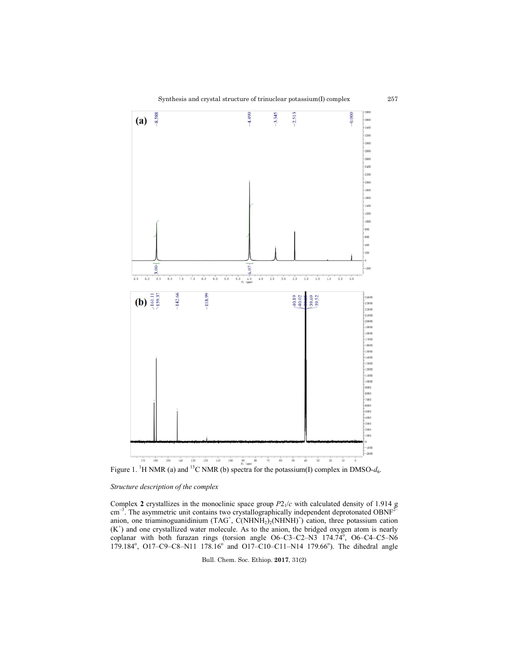

Figure 1. <sup>1</sup>H NMR (a) and <sup>13</sup>C NMR (b) spectra for the potassium(I) complex in DMSO- $d_6$ .

## *Structure description of the complex*

Complex **2** crystallizes in the monoclinic space group cm<sup>-3</sup>. The asymmetric unit contains two crystallographically independent deprotonated anion, one triaminoguanidinium  $(TAG^+, C(NHNH_2)_2(NHNH)^+)$  cation, three potassium cation  $(K<sup>+</sup>)$  and one crystallized water molecule. As to the anion, the bridged oxygen atom is nearly anion, one triaminoguanidinium (TAG<sup>+</sup>, C(NHNH<sub>2</sub>)<sub>2</sub>(NHNH)<sup>+</sup>) cation, three potassium cation (K<sup>+</sup>) and one crystallized water molecule. As to the anion, the bridged oxygen atom is nearly coplanar with both furazan ring 179.184°, O17-C9-C8-N11 178.16° and O17-C10-C11-N14 179.66°). The dihedral angle  $P2<sub>1</sub>/c$  with calculated density of 1.914 g with calculated density of 1.914 g<br>independent deprotonated OBNF<sup>2-</sup>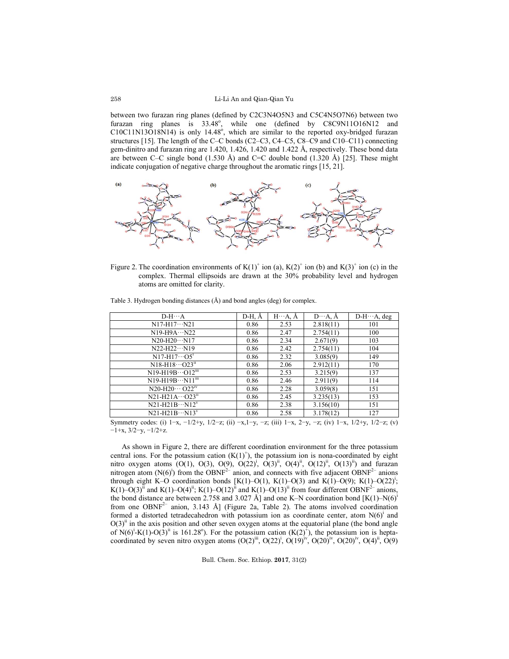### Li-Li An and Qian-Qian Yu

between two furazan ring planes (defined by C2C3N4O5N3 and C5C4N5O7N6) between two furazan ring planes is 33.48°, while one (defined by C8C9N11O16N12 and  $C10C11N13O18N14$ ) is only 14.48°, which are similar to the reported oxy-bridged furazan structures [15]. The length of the C–C bonds (C2–C3, C4–C5, C8–C9 and C10–C11) connecting gem-dinitro and furazan ring are 1.420, 1.426, 1.420 and 1.422 Å, respectively. These bond data are between C–C single bond  $(1.530 \text{ Å})$  and C=C double bond  $(1.320 \text{ Å})$  [25]. These might indicate conjugation of negative charge throughout the aromatic rings [15, 21].



Figure 2. The coordination environments of  $K(1)^+$  ion (a),  $K(2)^+$  ion (b) and  $K(3)^+$  ion (c) in the complex. Thermal ellipsoids are drawn at the 30% probability level and hydrogen atoms are omitted for clarity.

| $D-H \cdots A$                                                                                                                       | D-H, Å | $H \cdots A$ , $A$ | $D \cdots A$ , $A$ | $D-H \cdots A$ , deg |
|--------------------------------------------------------------------------------------------------------------------------------------|--------|--------------------|--------------------|----------------------|
| $N17-H17\cdots N21$                                                                                                                  | 0.86   | 2.53               | 2.818(11)          | 101                  |
| $N19-H9A\cdots N22$                                                                                                                  | 0.86   | 2.47               | 2.754(11)          | 100                  |
| $N20-H20N17$                                                                                                                         | 0.86   | 2.34               | 2.671(9)           | 103                  |
| $N22-H22\cdots N19$                                                                                                                  | 0.86   | 2.42               | 2.754(11)          | 104                  |
| $N17-H17\cdots$ $O51$                                                                                                                | 0.86   | 2.32               | 3.085(9)           | 149                  |
| $N18-H18\cdots O23^{n}$                                                                                                              | 0.86   | 2.06               | 2.912(11)          | 170                  |
| $N19-H19B\cdots O12m$                                                                                                                | 0.86   | 2.53               | 3.215(9)           | 137                  |
| $N19-H19BN11^{iii}$                                                                                                                  | 0.86   | 2.46               | 2.911(9)           | 114                  |
| $N20-H20 \cdots$ $O22^{N}$                                                                                                           | 0.86   | 2.28               | 3.059(8)           | 151                  |
| $N21-H21A\cdots O23ii$                                                                                                               | 0.86   | 2.45               | 3.235(13)          | 153                  |
| $N21-H21B\cdots N12^{V}$                                                                                                             | 0.86   | 2.38               | 3.156(10)          | 151                  |
| $N21-H21B\cdots N13^v$                                                                                                               | 0.86   | 2.58               | 3.178(12)          | 127                  |
| Symmetry codes: (i) $1-x = 1/2 + y = 1/2 - z$ ; (ii) $-x = 1-y = z$ ; (iii) $1-x = 2 - y = z$ ; (iv) $1-x = 1/2 + y = 1/2 - z$ ; (v) |        |                    |                    |                      |

Table 3. Hydrogen bonding distances (Å) and bond angles (deg) for complex.

(i) 1−x, −1/2+y, 1/2−z; (ii) −x, 1−y, −z; (iii) 1−x, 2−y, −z; (iv) 1−x, 1/2+y, 1/2−z; (v) −1+x, 3/2−y, −1/2+z.

As shown in Figure 2, there are different coordination environment for the three potassium central ions. For the potassium cation  $(K(1)^+)$ , the potassium ion is nona-coordinated by eight nitro oxygen atoms (O(1), O(3), O(9), O(22)<sup>i</sup>, O(3)<sup>ii</sup>, O(4)<sup>ii</sup>, O(12)<sup>ii</sup>, O(13)<sup>ii</sup>) and furazan nitrogen atom  $(N(6))$  from the OBNF<sup>2–</sup> anion, and connects with five adjacent OBNF<sup>2–</sup> anions through eight K–O coordination bonds [K(1)–O(1), K(1)–O(3) and K(1)–O(9); K(1)–O(22)<sup>i</sup>; K(1)–O(3)<sup>ii</sup> and K(1)–O(4)<sup>ii</sup>; K(1)–O(12)<sup>ii</sup> and K(1)–O(13)<sup>ii</sup> from four different OBNF<sup>2–</sup> anions, the bond distance are between 2.758 and 3.027 Å] and one K–N coordination bond  $[K(1)-N(6)]$ from one OBNF<sup>2–</sup> anion, 3.143 Å] (Figure 2a, Table 2). The atoms involved coordination formed a distorted tetradecahedron with potassium ion as coordinate center, atom  $N(6)$ <sup>1</sup> and  $O(3)$ <sup>ii</sup> in the axis position and other seven oxygen atoms at the equatorial plane (the bond angle of  $N(6)^{1}K(1)-O(3)^{ii}$  is 161.28°). For the potassium cation  $(K(2)^{+})$ , the potassium ion is heptacoordinated by seven nitro oxygen atoms  $(O(2)^{iii}, O(22)^{i}, O(19)^{iv}, O(20)^{iv}, O(20)^{iv}, O(4)^{ii}, O(9)$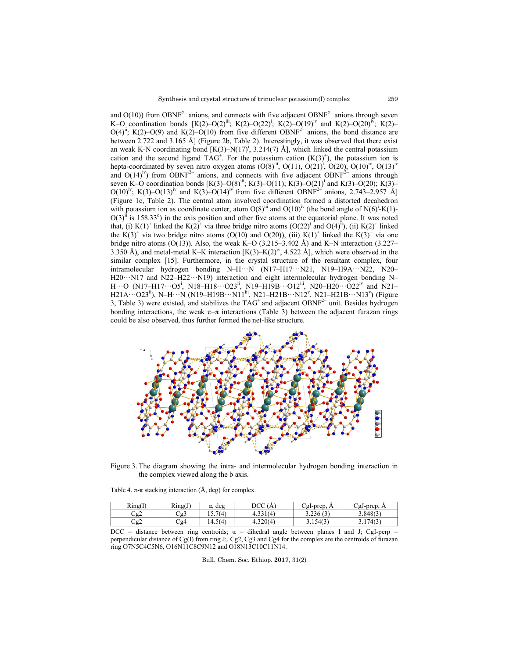and  $O(10)$ ) from OBNF<sup>2–</sup> anions, and connects with five adjacent OBNF<sup>2–</sup> anions through seven K-O coordination bonds  $[K(2)-O(2)^{ii}; K(2)-O(22)^{i}; K(2)-O(19)^{iv}$  and  $K(2)-O(20)^{iv}; K(2)-O(20)^{iv}$  $O(4)^{ii}$ ; K(2)– $O(9)$  and K(2)– $O(10)$  from five different OBNF<sup>2–</sup> anions, the bond distance are between 2.722 and 3.165 Å] (Fig (Figure 2b, Table 2). Interestingly, it was observed that there exist an weak K-N coordinating bond  $[K(3)-N(17)^i, 3.214(7)$  Å], which linked the central potassium cation and the second ligand  $TAG^+$ . For the potassium cation  $(K(3)^+)$ , the potassium ion is between 2.722 and 3.165 Å] (Figure 2b, Table 2). Interestingly, it was observed that there exist an weak K-N coordinating bond [K(3)–N(17)<sup>i</sup>, 3.214(7) Å], which linked the central potassium cation and the second ligand T and  $O(14)^{iv}$ ) from OBNF<sup>2–</sup> anions, and connects with five adjacent OBNF<sup>2–</sup> anions through seven K–O coordination bonds  $[K(3)-O(8)^{iii}$ ; K(3)–O(11); K(3)–O(21)<sup>i</sup> and K(3)–O(20); K(3)–  $O(10)^{iv}$ ; K(3)– $O(13)^{iv}$  and K(3)– $O(14)^{iv}$  from five different OBNF<sup>2–</sup> anions, 2.743–2.957 Å] (Figure 1c, Table 2). The central atom involved coordination formed a distorted decahedron (Figure 1c, Table 2). The central atom involved coordination formed a distorted decah with potassium ion as coordinate center, atom  $O(8)^{iii}$  and  $O(10)^{iv}$  (the bond angle of N(6)<sup>i</sup>- $O(3)$ <sup>ii</sup> is 158.33<sup>o</sup>) in the axis position and other five atoms at the equatorial plane. It was noted that, (i) K(1)<sup>+</sup> linked the K(2)<sup>+</sup> via three bridge nitro atoms  $(O(22)^{i})$  and  $O(4)^{i}$ ), (ii) K(2)<sup>+</sup> linked that, (i)  $K(1)^+$  linked the  $K(2)^+$  via three bridge nitro atoms  $(O(22)^i)$  and  $O(4)^{i}$ , (ii)  $K(2)^+$  linked the  $K(3)^{+}$  via two bridge nitro atoms (O(10) and O(20)), (iii)  $K(1)^{+}$  linked the  $K(3)^{+}$  via one bridge nitro atoms  $(O(13))$ . Also, the weak K–O  $(3.215-3.402 \text{ Å})$  and K–N interaction  $(3.227-$ 3.350 Å), and metal-metal K–K interaction  $[K(3)-K(2)^{iv}, 4.522 \text{ Å}]$ , which were observed in the similar complex [15]. Furthermore, in the crystal structure of the resultant complex, four 3.350 Å), and metal-metal K–K interaction  $[K(3)-K(2)^N, 4.522 \text{ Å}]$ , which were observed in the similar complex [15]. Furthermore, in the crystal structure of the resultant complex, four intramolecular hydrogen bonding N–H· H20 ··· N17 and N22–H22 ··· N19) interaction and eight intermolecular hydrogen bonding N–  $\rm H \cdots O$  (N17–H17 $\cdots$ O5<sup>i</sup>, N18–H18 $\cdots$ O23<sup>ii</sup>, N19–H19B $\cdots$ O12<sup>iii</sup>, N20–H20 $\cdots$ O22<sup>iv</sup> and N21– H21A···O23<sup>ii</sup>), N–H···N (N19–H19B···N11<sup>iii</sup>, N21–H21B···N12<sup>v</sup>, N21–H21B···N13<sup>v</sup>) (Figure 3, Table 3) were existed, and stabilizes the  $TAG^+$  and adjacent OBNF<sup>2–</sup> unit. Besides hydrogen bonding interactions, the weak  $\pi-\pi$  interactions (Table 3) between the adjacent furazan rings could be also observed, thus further formed the net-like structure. erystal structure of trinuclear potassium(I) complex<br>
m, and connects with five adjacent OBNF<sup>2-</sup> anioms<br>
(10) from five different OBNF<sup>2-</sup> anioms<br>
(2017); K(2)-C)(2); K(2)-Q(1)<sup>P</sup> and K(2)-<br>
Figure 2b, Table 2). Interest (14)<sup>tv</sup> from five different OBNF<sup>2-</sup> anions, 2.743–2.957 Å] atom involved coordination formed a distorted decahedron enter, atom O(8)<sup>iii</sup> and O(10)<sup>iv</sup> (the bond angle of N(6)<sup>i</sup>-K(1)-



Figure 3. The diagram showing the intra- and intermolecular hydrogen bonding interaction in the complex viewed along the b axis.

| Table 4. $\pi$ - $\pi$ stacking interaction (A, deg) for complex. |  |  |  |
|-------------------------------------------------------------------|--|--|--|
|                                                                   |  |  |  |
|                                                                   |  |  |  |

| Ring(I) | Ring(J) | deg<br>$\alpha$ | DCC<br>A. | CgI-prep, $\sim$ | CgJ-prep, A     |
|---------|---------|-----------------|-----------|------------------|-----------------|
| Cg2     | Cg3     | .7(4)<br>15.7   | 4.331(4)  | 3.236(3)         | 3.848(3)        |
| Cg2     | Cg4     | 14.5(4)         | $+320(4)$ | 3.154(3)         | .174(3)<br>J.II |

DCC = distance between ring centroids;  $\alpha$  = dihedral angle between planes I and J; CgI-perp =  $DCC =$  distance between ring centroids;  $\alpha =$  dihedral angle between planes I and J; CgI-perp = perpendicular distance of Cg(I) from ring J; Cg2, Cg3 and Cg4 for the complex are the centroids of furazan ring O7N5C4C5N6, O16N11C8C9N12 and O18N13C10C11N14.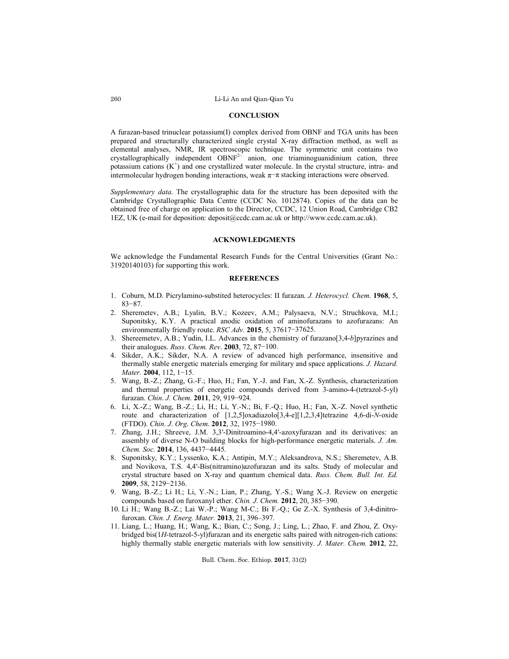# **CONCLUSION**

A furazan-based trinuclear potassium(I) complex derived from OBNF and TGA units has been prepared and structurally characterized single crystal X-ray diffraction method, as well as elemental analyses, NMR, IR spectroscopic technique. The symmetric unit contains two crystallographically independent  $OBNF<sup>2–</sup>$  anion, one triaminoguanidinium cation, three potassium cations  $(K^+)$  and one crystallized water molecule. In the crystal structure, intra- and intermolecular hydrogen bonding interactions, weak π−π stacking interactions were observed.

*Supplementary data*. The crystallographic data for the structure has been deposited with the Cambridge Crystallographic Data Centre (CCDC No. 1012874). Copies of the data can be obtained free of charge on application to the Director, CCDC, 12 Union Road, Cambridge CB2 1EZ, UK (e-mail for deposition: deposit@ccdc.cam.ac.uk or http://www.ccdc.cam.ac.uk).

### **ACKNOWLEDGMENTS**

We acknowledge the Fundamental Research Funds for the Central Universities (Grant No.: 31920140103) for supporting this work.

# **REFERENCES**

- 1. Coburn, M.D. Picrylamino-substited heterocycles: II furazan. *J. Heterocycl. Chem*. **1968**, 5, 83−87.
- 2. Sheremetev, A.B.; Lyalin, B.V.; Kozeev, A.M.; Palysaeva, N.V.; Struchkova, M.I.; Suponitsky, K.Y. A practical anodic oxidation of aminofurazans to azofurazans: An environmentally friendly route. *RSC Adv.* **2015**, 5, 37617−37625.
- 3. Shereemetev, A.B.; Yudin, I.L. Advances in the chemistry of furazano[3,4-*b*]pyrazines and their analogues. *Russ. Chem. Rev*. **2003**, 72, 87−100.
- 4. Sikder, A.K.; Sikder, N.A. A review of advanced high performance, insensitive and thermally stable energetic materials emerging for military and space applications. *J. Hazard. Mater.* **2004**, 112, 1−15.
- 5. Wang, B.-Z.; Zhang, G.-F.; Huo, H.; Fan, Y.-J. and Fan, X.-Z. Synthesis, characterization and thermal properties of energetic compounds derived from 3-amino-4-(tetrazol-5-yl) furazan. *Chin*. *J. Chem*. **2011**, 29, 919−924.
- 6. Li, X.-Z.; Wang, B.-Z.; Li, H.; Li, Y.-N.; Bi, F.-Q.; Huo, H.; Fan, X.-Z. Novel synthetic route and characterization of [1,2,5]oxadiazolo[3,4-e][1,2,3,4]tetrazine 4,6-di-*N*-oxide (FTDO). *Chin*. *J*. *Org*. *Chem*. **2012**, 32, 1975−1980.
- 7. Zhang, J.H.; Shreeve, J.M. 3,3′-Dinitroamino-4,4′-azoxyfurazan and its derivatives: an assembly of diverse N-O building blocks for high-performance energetic materials. *J. Am. Chem. Soc.* **2014**, 136, 4437−4445.
- 8. Suponitsky, K.Y.; Lyssenko, K.A.; Antipin, M.Y.; Aleksandrova, N.S.; Sheremetev, A.B. and Novikova, T.S. 4,4′-Bis(nitramino)azofurazan and its salts. Study of molecular and crystal structure based on X-ray and quantum chemical data. *Russ. Chem. Bull. Int. Ed.* **2009**, 58, 2129−2136.
- 9. Wang, B.-Z.; Li H.; Li, Y.-N.; Lian, P.; Zhang, Y.-S.; Wang X.-J. Review on energetic compounds based on furoxanyl ether. *Chin. J. Chem.* **2012**, 20, 385−390.
- 10. Li H.; Wang B.-Z.; Lai W.-P.; Wang M-C.; Bi F.-Q.; Ge Z.-X. Synthesis of 3,4-dinitrofuroxan. *Chin. J. Energ. Mater.* **2013**, 21, 396‒397.
- 11. Liang, L.; Huang, H.; Wang, K.; Bian, C.; Song, J.; Ling, L.; Zhao, F. and Zhou, Z. Oxybridged bis(1*H*-tetrazol-5-yl)furazan and its energetic salts paired with nitrogen-rich cations: highly thermally stable energetic materials with low sensitivity. *J. Mater. Chem.* **2012**, 22,